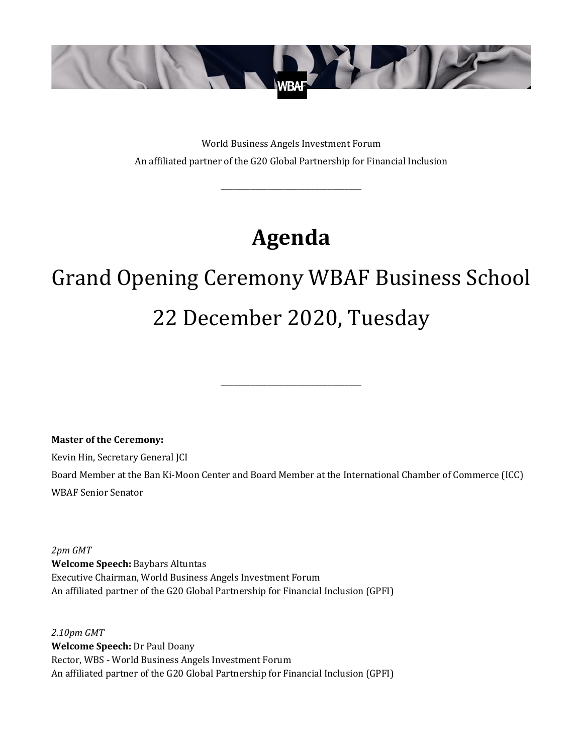

World Business Angels Investment Forum An affiliated partner of the G20 Global Partnership for Financial Inclusion

\_\_\_\_\_\_\_\_\_\_\_\_\_\_\_\_\_\_\_\_\_\_\_\_\_\_\_\_\_\_\_\_\_

# **Agenda**

# Grand Opening Ceremony WBAF Business School 22 December 2020, Tuesday

\_\_\_\_\_\_\_\_\_\_\_\_\_\_\_\_\_\_\_\_\_\_\_\_\_\_\_\_\_\_\_\_\_

**Master of the Ceremony:**

Kevin Hin, Secretary General JCI

Board Member at the Ban Ki-Moon Center and Board Member at the International Chamber of Commerce (ICC) WBAF Senior Senator

*2pm GMT* **Welcome Speech:** Baybars Altuntas Executive Chairman, World Business Angels Investment Forum An affiliated partner of the G20 Global Partnership for Financial Inclusion (GPFI)

*2.10pm GMT* **Welcome Speech:** Dr Paul Doany Rector, WBS - World Business Angels Investment Forum An affiliated partner of the G20 Global Partnership for Financial Inclusion (GPFI)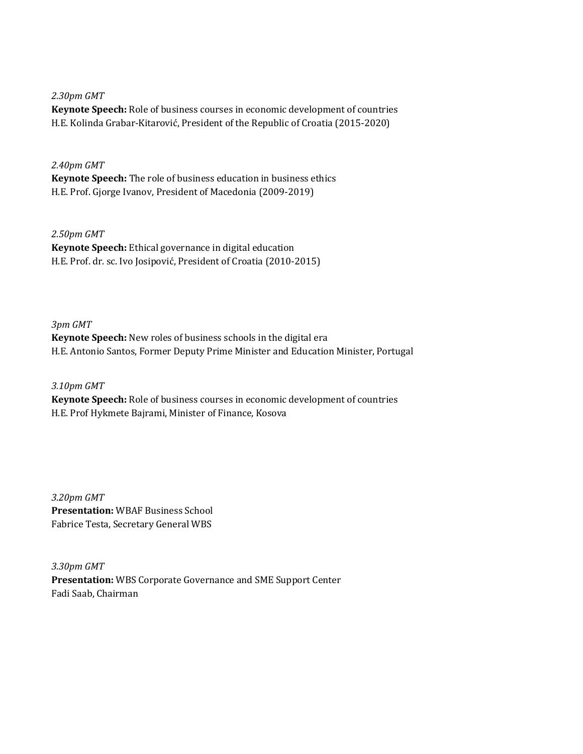*2.30pm GMT*

**Keynote Speech:** Role of business courses in economic development of countries H.E. Kolinda Grabar-Kitarović, President of the Republic of Croatia (2015-2020)

# *2.40pm GMT*

**Keynote Speech:** The role of business education in business ethics H.E. Prof. Gjorge Ivanov, President of Macedonia (2009-2019)

# *2.50pm GMT*

**Keynote Speech:** Ethical governance in digital education H.E. Prof. dr. sc. Ivo Josipović, President of Croatia (2010-2015)

# *3pm GMT*

**Keynote Speech:** New roles of business schools in the digital era H.E. Antonio Santos, Former Deputy Prime Minister and Education Minister, Portugal

#### *3.10pm GMT*

**Keynote Speech:** Role of business courses in economic development of countries H.E. Prof Hykmete Bajrami, Minister of Finance, Kosova

*3.20pm GMT* **Presentation:** WBAF Business School Fabrice Testa, Secretary General WBS

*3.30pm GMT* **Presentation:** WBS Corporate Governance and SME Support Center Fadi Saab, Chairman